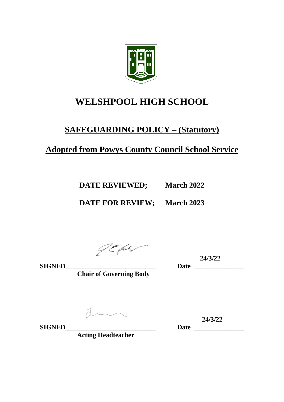

# **WELSHPOOL HIGH SCHOOL**

# **SAFEGUARDING POLICY – (Statutory)**

# **Adopted from Powys County Council School Service**

**DATE REVIEWED; March 2022**

**DATE FOR REVIEW; March 2023**

JE faty

 **24/3/22**

**SIGNED\_\_\_\_\_\_\_\_\_\_\_\_\_\_\_\_\_\_\_\_\_\_\_\_\_\_\_ Date \_\_\_\_\_\_\_\_\_\_\_\_\_\_\_**

**Chair of Governing Body**

 $\overline{d}$ 

**SIGNED** Date Date Date Date Date

**Acting Headteacher**

**24/3/22**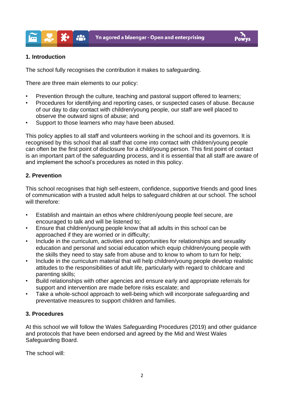

#### **1. Introduction**

X₩

The school fully recognises the contribution it makes to safeguarding.

There are three main elements to our policy:

 $\mathbf{a}$ 

- Prevention through the culture, teaching and pastoral support offered to learners;
- Procedures for identifying and reporting cases, or suspected cases of abuse. Because of our day to day contact with children/young people, our staff are well placed to observe the outward signs of abuse; and
- Support to those learners who may have been abused.

This policy applies to all staff and volunteers working in the school and its governors. It is recognised by this school that all staff that come into contact with children/young people can often be the first point of disclosure for a child/young person. This first point of contact is an important part of the safeguarding process, and it is essential that all staff are aware of and implement the school's procedures as noted in this policy.

#### **2. Prevention**

This school recognises that high self-esteem, confidence, supportive friends and good lines of communication with a trusted adult helps to safeguard children at our school. The school will therefore:

- Establish and maintain an ethos where children/young people feel secure, are encouraged to talk and will be listened to;
- Ensure that children/young people know that all adults in this school can be approached if they are worried or in difficulty;
- Include in the curriculum, activities and opportunities for relationships and sexuality education and personal and social education which equip children/young people with the skills they need to stay safe from abuse and to know to whom to turn for help;
- Include in the curriculum material that will help children/young people develop realistic attitudes to the responsibilities of adult life, particularly with regard to childcare and parenting skills;
- Build relationships with other agencies and ensure early and appropriate referrals for support and intervention are made before risks escalate; and
- Take a whole-school approach to well-being which will incorporate safeguarding and preventative measures to support children and families.

#### **3. Procedures**

At this school we will follow the Wales Safeguarding Procedures (2019) and other guidance and protocols that have been endorsed and agreed by the Mid and West Wales Safeguarding Board.

The school will: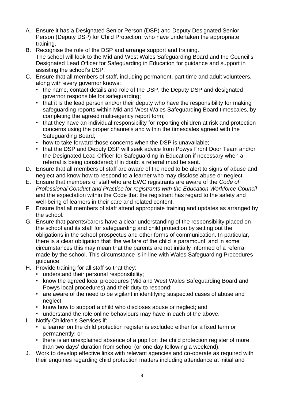- A. Ensure it has a Designated Senior Person (DSP) and Deputy Designated Senior Person (Deputy DSP) for Child Protection, who have undertaken the appropriate training.
- B. Recognise the role of the DSP and arrange support and training. The school will look to the Mid and West Wales Safeguarding Board and the Council's Designated Lead Officer for Safeguarding in Education for guidance and support in assisting the school's DSP.
- C. Ensure that all members of staff, including permanent, part time and adult volunteers, along with every governor knows:
	- the name, contact details and role of the DSP, the Deputy DSP and designated governor responsible for safeguarding;
	- that it is the lead person and/or their deputy who have the responsibility for making safeguarding reports within Mid and West Wales Safeguarding Board timescales, by completing the agreed multi-agency report form;
	- that they have an individual responsibility for reporting children at risk and protection concerns using the proper channels and within the timescales agreed with the Safeguarding Board;
	- how to take forward those concerns when the DSP is unavailable;
	- that the DSP and Deputy DSP will seek advice from Powys Front Door Team and/or the Designated Lead Officer for Safeguarding in Education if necessary when a referral is being considered; if in doubt a referral must be sent.
- D. Ensure that all members of staff are aware of the need to be alert to signs of abuse and neglect and know how to respond to a learner who may disclose abuse or neglect.
- E. Ensure that members of staff who are EWC registrants are aware of the *Code of Professional Conduct and Practice for registrants with the Education Workforce Council*  and the expectation within the Code that the registrant has regard to the safety and well-being of learners in their care and related content.
- F. Ensure that all members of staff attend appropriate training and updates as arranged by the school.
- G. Ensure that parents/carers have a clear understanding of the responsibility placed on the school and its staff for safeguarding and child protection by setting out the obligations in the school prospectus and other forms of communication. In particular, there is a clear obligation that 'the welfare of the child is paramount' and in some circumstances this may mean that the parents are not initially informed of a referral made by the school. This circumstance is in line with Wales Safeguarding Procedures guidance.
- H. Provide training for all staff so that they:
	- understand their personal responsibility;
	- know the agreed local procedures (Mid and West Wales Safeguarding Board and Powys local procedures) and their duty to respond;
	- are aware of the need to be vigilant in identifying suspected cases of abuse and neglect;
	- know how to support a child who discloses abuse or neglect; and
	- understand the role online behaviours may have in each of the above.
- I. Notify Children's Services if:
	- a learner on the child protection register is excluded either for a fixed term or permanently; or
	- there is an unexplained absence of a pupil on the child protection register of more than two days' duration from school (or one day following a weekend).
- J. Work to develop effective links with relevant agencies and co-operate as required with their enquiries regarding child protection matters including attendance at initial and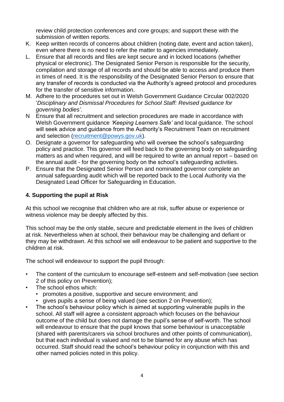review child protection conferences and core groups; and support these with the submission of written reports.

- K. Keep written records of concerns about children (noting date, event and action taken), even where there is no need to refer the matter to agencies immediately.
- L. Ensure that all records and files are kept secure and in locked locations (whether physical or electronic). The Designated Senior Person is responsible for the security, compilation and storage of all records and should be able to access and produce them in times of need. It is the responsibility of the Designated Senior Person to ensure that any transfer of records is conducted via the Authority's agreed protocol and procedures for the transfer of sensitive information.
- M. Adhere to the procedures set out in Welsh Government Guidance Circular 002/2020 '*Disciplinary and Dismissal Procedures for School Staff: Revised guidance for governing bodies'*.
- N Ensure that all recruitment and selection procedures are made in accordance with Welsh Government guidance *'Keeping Learners Safe'* and local guidance. The school will seek advice and guidance from the Authority's Recruitment Team on recruitment and selection [\(recruitment@powys.gov.uk\)](mailto:recruitment@powys.gov.uk).
- O. Designate a governor for safeguarding who will oversee the school's safeguarding policy and practice. This governor will feed back to the governing body on safeguarding matters as and when required, and will be required to write an annual report – based on the annual audit - for the governing body on the school's safeguarding activities.
- P. Ensure that the Designated Senior Person and nominated governor complete an annual safeguarding audit which will be reported back to the Local Authority via the Designated Lead Officer for Safeguarding in Education.

## **4. Supporting the pupil at Risk**

At this school we recognise that children who are at risk, suffer abuse or experience or witness violence may be deeply affected by this.

This school may be the only stable, secure and predictable element in the lives of children at risk. Nevertheless when at school, their behaviour may be challenging and defiant or they may be withdrawn. At this school we will endeavour to be patient and supportive to the children at risk.

The school will endeavour to support the pupil through:

- The content of the curriculum to encourage self-esteem and self-motivation (see section 2 of this policy on Prevention);
- The school ethos which:
	- promotes a positive, supportive and secure environment; and
	- gives pupils a sense of being valued (see section 2 on Prevention);
- The school's behaviour policy which is aimed at supporting vulnerable pupils in the school. All staff will agree a consistent approach which focuses on the behaviour outcome of the child but does not damage the pupil's sense of self-worth. The school will endeavour to ensure that the pupil knows that some behaviour is unacceptable (shared with parents/carers via school brochures and other points of communication), but that each individual is valued and not to be blamed for any abuse which has occurred. Staff should read the school's behaviour policy in conjunction with this and other named policies noted in this policy.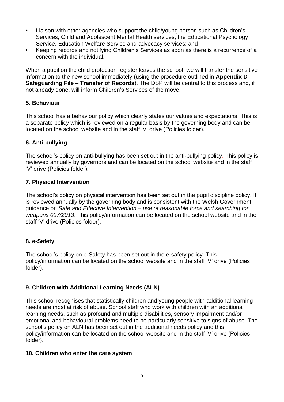- Liaison with other agencies who support the child/young person such as Children's Services, Child and Adolescent Mental Health services, the Educational Psychology Service, Education Welfare Service and advocacy services; and
- Keeping records and notifying Children's Services as soon as there is a recurrence of a concern with the individual.

When a pupil on the child protection register leaves the school, we will transfer the sensitive information to the new school immediately (using the procedure outlined in **Appendix D Safeguarding File – Transfer of Records**). The DSP will be central to this process and, if not already done, will inform Children's Services of the move.

#### **5. Behaviour**

This school has a behaviour policy which clearly states our values and expectations. This is a separate policy which is reviewed on a regular basis by the governing body and can be located on the school website and in the staff 'V' drive (Policies folder).

#### **6. Anti-bullying**

The school's policy on anti-bullying has been set out in the anti-bullying policy. This policy is reviewed annually by governors and can be located on the school website and in the staff 'V' drive (Policies folder).

#### **7. Physical Intervention**

The school's policy on physical intervention has been set out in the pupil discipline policy. It is reviewed annually by the governing body and is consistent with the Welsh Government guidance on *Safe and Effective Intervention – use of reasonable force and searching for weapons 097/2013*. This policy/information can be located on the school website and in the staff 'V' drive (Policies folder).

## **8. e-Safety**

The school's policy on e-Safety has been set out in the e-safety policy. This policy/information can be located on the school website and in the staff 'V' drive (Policies folder).

## **9. Children with Additional Learning Needs (ALN)**

This school recognises that statistically children and young people with additional learning needs are most at risk of abuse. School staff who work with children with an additional learning needs, such as profound and multiple disabilities, sensory impairment and/or emotional and behavioural problems need to be particularly sensitive to signs of abuse. The school's policy on ALN has been set out in the additional needs policy and this policy/information can be located on the school website and in the staff 'V' drive (Policies folder).

#### **10. Children who enter the care system**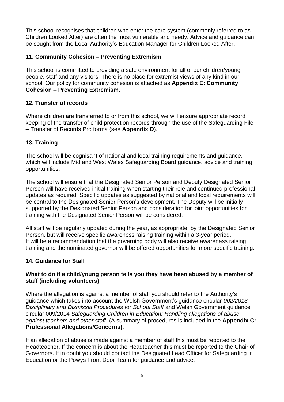This school recognises that children who enter the care system (commonly referred to as Children Looked After) are often the most vulnerable and needy. Advice and guidance can be sought from the Local Authority's Education Manager for Children Looked After.

## **11. Community Cohesion – Preventing Extremism**

This school is committed to providing a safe environment for all of our children/young people, staff and any visitors. There is no place for extremist views of any kind in our school. Our policy for community cohesion is attached as **Appendix E: Community Cohesion – Preventing Extremism.**

## **12. Transfer of records**

Where children are transferred to or from this school, we will ensure appropriate record keeping of the transfer of child protection records through the use of the Safeguarding File – Transfer of Records Pro forma (see **Appendix D**).

## **13. Training**

The school will be cognisant of national and local training requirements and guidance, which will include Mid and West Wales Safeguarding Board guidance, advice and training opportunities.

The school will ensure that the Designated Senior Person and Deputy Designated Senior Person will have received initial training when starting their role and continued professional updates as required. Specific updates as suggested by national and local requirements will be central to the Designated Senior Person's development. The Deputy will be initially supported by the Designated Senior Person and consideration for joint opportunities for training with the Designated Senior Person will be considered.

All staff will be regularly updated during the year, as appropriate, by the Designated Senior Person, but will receive specific awareness raising training within a 3-year period. It will be a recommendation that the governing body will also receive awareness raising training and the nominated governor will be offered opportunities for more specific training.

## **14. Guidance for Staff**

## **What to do if a child/young person tells you they have been abused by a member of staff (including volunteers)**

Where the allegation is against a member of staff you should refer to the Authority's guidance which takes into account the Welsh Government's guidance circular *002/2013 Disciplinary and Dismissal Procedures for School Staff* and Welsh Government guidance circular 009/2014 *Safeguarding Children in Education: Handling allegations of abuse against teachers and other staff*. (A summary of procedures is included in the **Appendix C: Professional Allegations/Concerns).**

If an allegation of abuse is made against a member of staff this must be reported to the Headteacher. If the concern is about the Headteacher this must be reported to the Chair of Governors. If in doubt you should contact the Designated Lead Officer for Safeguarding in Education or the Powys Front Door Team for guidance and advice.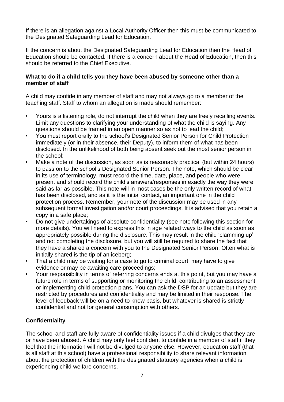If there is an allegation against a Local Authority Officer then this must be communicated to the Designated Safeguarding Lead for Education.

If the concern is about the Designated Safeguarding Lead for Education then the Head of Education should be contacted. If there is a concern about the Head of Education, then this should be referred to the Chief Executive.

#### **What to do if a child tells you they have been abused by someone other than a member of staff**

A child may confide in any member of staff and may not always go to a member of the teaching staff. Staff to whom an allegation is made should remember:

- Yours is a listening role, do not interrupt the child when they are freely recalling events. Limit any questions to clarifying your understanding of what the child is saying. Any questions should be framed in an open manner so as not to lead the child;
- You must report orally to the school's Designated Senior Person for Child Protection immediately (or in their absence, their Deputy), to inform them of what has been disclosed. In the unlikelihood of both being absent seek out the most senior person in the school;
- Make a note of the discussion, as soon as is reasonably practical (but within 24 hours) to pass on to the school's Designated Senior Person. The note, which should be clear in its use of terminology, must record the time, date, place, and people who were present and should record the child's answers/responses in exactly the way they were said as far as possible. This note will in most cases be the only written record of what has been disclosed, and as it is the initial contact, an important one in the child protection process. Remember, your note of the discussion may be used in any subsequent formal investigation and/or court proceedings. It is advised that you retain a copy in a safe place;
- Do not give undertakings of absolute confidentiality (see note following this section for more details). You will need to express this in age related ways to the child as soon as appropriately possible during the disclosure. This may result in the child 'clamming up' and not completing the disclosure, but you will still be required to share the fact that they have a shared a concern with you to the Designated Senior Person. Often what is initially shared is the tip of an iceberg;
- That a child may be waiting for a case to go to criminal court, may have to give evidence or may be awaiting care proceedings;
- Your responsibility in terms of referring concerns ends at this point, but you may have a future role in terms of supporting or monitoring the child, contributing to an assessment or implementing child protection plans. You can ask the DSP for an update but they are restricted by procedures and confidentiality and may be limited in their response. The level of feedback will be on a need to know basis, but whatever is shared is strictly confidential and not for general consumption with others.

## **Confidentiality**

The school and staff are fully aware of confidentiality issues if a child divulges that they are or have been abused. A child may only feel confident to confide in a member of staff if they feel that the information will not be divulged to anyone else. However, education staff (that is all staff at this school) have a professional responsibility to share relevant information about the protection of children with the designated statutory agencies when a child is experiencing child welfare concerns.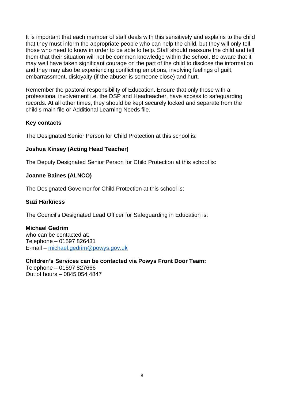It is important that each member of staff deals with this sensitively and explains to the child that they must inform the appropriate people who can help the child, but they will only tell those who need to know in order to be able to help. Staff should reassure the child and tell them that their situation will not be common knowledge within the school. Be aware that it may well have taken significant courage on the part of the child to disclose the information and they may also be experiencing conflicting emotions, involving feelings of guilt, embarrassment, disloyalty (if the abuser is someone close) and hurt.

Remember the pastoral responsibility of Education. Ensure that only those with a professional involvement i.e. the DSP and Headteacher, have access to safeguarding records. At all other times, they should be kept securely locked and separate from the child's main file or Additional Learning Needs file.

## **Key contacts**

The Designated Senior Person for Child Protection at this school is:

## **Joshua Kinsey (Acting Head Teacher)**

The Deputy Designated Senior Person for Child Protection at this school is:

## **Joanne Baines (ALNCO)**

The Designated Governor for Child Protection at this school is:

#### **Suzi Harkness**

The Council's Designated Lead Officer for Safeguarding in Education is:

## **Michael Gedrim**

who can be contacted at: Telephone – 01597 826431 E-mail – [michael.gedrim@powys.gov.uk](mailto:michael.gedrim@powys.gov.uk)

## **Children's Services can be contacted via Powys Front Door Team:**

Telephone – 01597 827666 Out of hours – 0845 054 4847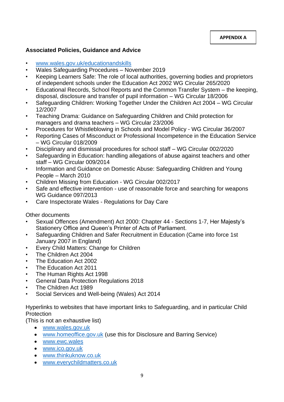#### **Associated Policies, Guidance and Advice**

- [www.wales.gov.uk/educationandskills](http://www.wales.gov.uk/educationandskills)
- Wales Safeguarding Procedures November 2019
- Keeping Learners Safe: The role of local authorities, governing bodies and proprietors of independent schools under the Education Act 2002 WG Circular 265/2020
- Educational Records, School Reports and the Common Transfer System the keeping, disposal, disclosure and transfer of pupil information – WG Circular 18/2006
- Safeguarding Children: Working Together Under the Children Act 2004 WG Circular 12/2007
- Teaching Drama: Guidance on Safeguarding Children and Child protection for managers and drama teachers – WG Circular 23/2006
- Procedures for Whistleblowing in Schools and Model Policy WG Circular 36/2007
- Reporting Cases of Misconduct or Professional Incompetence in the Education Service – WG Circular 018/2009
- Disciplinary and dismissal procedures for school staff WG Circular 002/2020
- Safeguarding in Education: handling allegations of abuse against teachers and other staff – WG Circular 009/2014
- Information and Guidance on Domestic Abuse: Safeguarding Children and Young People – March 2010
- Children Missing from Education WG Circular 002/2017
- Safe and effective intervention use of reasonable force and searching for weapons WG Guidance 097/2013
- [Care Inspectorate Wales -](https://careinspectorate.wales/regulations-and-national-minimum-standards-day-care-and-play) Regulations for Day Care

Other documents

- Sexual Offences (Amendment) Act 2000: Chapter 44 Sections 1-7, Her Majesty's Stationery Office and Queen's Printer of Acts of Parliament.
- Safeguarding Children and Safer Recruitment in Education (Came into force 1st January 2007 in England)
- Every Child Matters: Change for Children
- The Children Act 2004
- The Education Act 2002
- The Education Act 2011
- The Human Rights Act 1998
- General Data Protection Regulations 2018
- The Children Act 1989
- Social Services and Well-being (Wales) Act 2014

Hyperlinks to websites that have important links to Safeguarding, and in particular Child **Protection** 

(This is not an exhaustive list)

- [www.wales.gov.uk](http://www.wales.gov.uk/)
- [www.homeoffice.gov.uk](http://www.homeoffice.gov.uk/) (use this for Disclosure and Barring Service)
- [www.ewc.wales](http://www.ewc.wales/)
- [www.ico.gov.uk](http://www.ico.gov.uk/)
- [www.thinkuknow.co.uk](http://www.thinkuknow.co.uk/)
- [www.everychildmatters.co.uk](http://www.everychildmatters.co.uk/)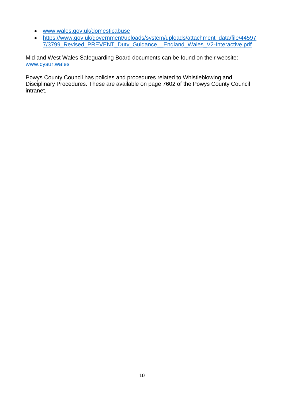- [www.wales.gov.uk/domesticabuse](http://www.wales.gov.uk/domesticabuse)
- [https://www.gov.uk/government/uploads/system/uploads/attachment\\_data/file/44597](https://www.gov.uk/government/uploads/system/uploads/attachment_data/file/445977/3799_Revised_PREVENT_Duty_Guidance__England_Wales_V2-Interactive.pdf) [7/3799\\_Revised\\_PREVENT\\_Duty\\_Guidance\\_\\_England\\_Wales\\_V2-Interactive.pdf](https://www.gov.uk/government/uploads/system/uploads/attachment_data/file/445977/3799_Revised_PREVENT_Duty_Guidance__England_Wales_V2-Interactive.pdf)

Mid and West Wales Safeguarding Board documents can be found on their website: [www.cysur.wales](http://www.cysur.wales/)

Powys County Council has policies and procedures related to Whistleblowing and Disciplinary Procedures. These are available on page 7602 of the Powys County Council intranet.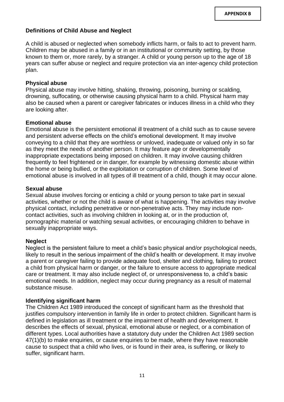## **Definitions of Child Abuse and Neglect**

A child is abused or neglected when somebody inflicts harm, or fails to act to prevent harm. Children may be abused in a family or in an institutional or community setting, by those known to them or, more rarely, by a stranger. A child or young person up to the age of 18 years can suffer abuse or neglect and require protection via an inter-agency child protection plan.

#### **Physical abuse**

Physical abuse may involve hitting, shaking, throwing, poisoning, burning or scalding, drowning, suffocating, or otherwise causing physical harm to a child. Physical harm may also be caused when a parent or caregiver fabricates or induces illness in a child who they are looking after.

#### **Emotional abuse**

Emotional abuse is the persistent emotional ill treatment of a child such as to cause severe and persistent adverse effects on the child's emotional development. It may involve conveying to a child that they are worthless or unloved, inadequate or valued only in so far as they meet the needs of another person. It may feature age or developmentally inappropriate expectations being imposed on children. It may involve causing children frequently to feel frightened or in danger, for example by witnessing domestic abuse within the home or being bullied, or the exploitation or corruption of children. Some level of emotional abuse is involved in all types of ill treatment of a child, though it may occur alone.

#### **Sexual abuse**

Sexual abuse involves forcing or enticing a child or young person to take part in sexual activities, whether or not the child is aware of what is happening. The activities may involve physical contact, including penetrative or non-penetrative acts. They may include noncontact activities, such as involving children in looking at, or in the production of, pornographic material or watching sexual activities, or encouraging children to behave in sexually inappropriate ways.

#### **Neglect**

Neglect is the persistent failure to meet a child's basic physical and/or psychological needs, likely to result in the serious impairment of the child's health or development. It may involve a parent or caregiver failing to provide adequate food, shelter and clothing, failing to protect a child from physical harm or danger, or the failure to ensure access to appropriate medical care or treatment. It may also include neglect of, or unresponsiveness to, a child's basic emotional needs. In addition, neglect may occur during pregnancy as a result of maternal substance misuse.

#### **Identifying significant harm**

The Children Act 1989 introduced the concept of significant harm as the threshold that justifies compulsory intervention in family life in order to protect children. Significant harm is defined in legislation as ill treatment or the impairment of health and development. It describes the effects of sexual, physical, emotional abuse or neglect, or a combination of different types. Local authorities have a statutory duty under the Children Act 1989 section 47(1)(b) to make enquiries, or cause enquiries to be made, where they have reasonable cause to suspect that a child who lives, or is found in their area, is suffering, or likely to suffer, significant harm.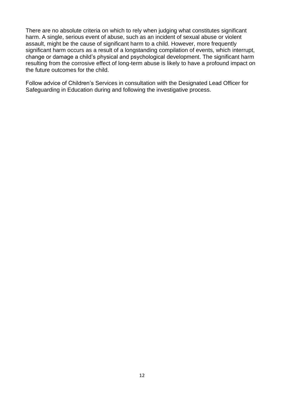There are no absolute criteria on which to rely when judging what constitutes significant harm. A single, serious event of abuse, such as an incident of sexual abuse or violent assault, might be the cause of significant harm to a child. However, more frequently significant harm occurs as a result of a longstanding compilation of events, which interrupt, change or damage a child's physical and psychological development. The significant harm resulting from the corrosive effect of long-term abuse is likely to have a profound impact on the future outcomes for the child.

Follow advice of Children's Services in consultation with the Designated Lead Officer for Safeguarding in Education during and following the investigative process.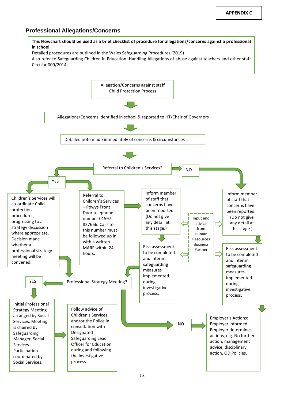#### **Professional Allegations/Concerns**

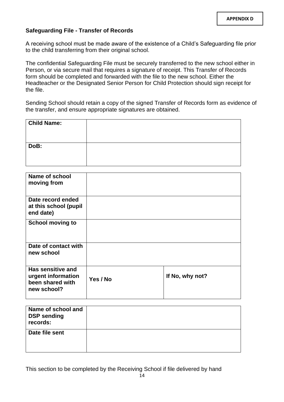#### **Safeguarding File - Transfer of Records**

A receiving school must be made aware of the existence of a Child's Safeguarding file prior to the child transferring from their original school.

The confidential Safeguarding File must be securely transferred to the new school either in Person, or via secure mail that requires a signature of receipt. This Transfer of Records form should be completed and forwarded with the file to the new school. Either the Headteacher or the Designated Senior Person for Child Protection should sign receipt for the file.

Sending School should retain a copy of the signed Transfer of Records form as evidence of the transfer, and ensure appropriate signatures are obtained.

| <b>Child Name:</b> |  |
|--------------------|--|
| DoB:               |  |

| Name of school<br>moving from                                              |          |                 |
|----------------------------------------------------------------------------|----------|-----------------|
| Date record ended<br>at this school (pupil<br>end date)                    |          |                 |
| <b>School moving to</b>                                                    |          |                 |
| Date of contact with<br>new school                                         |          |                 |
| Has sensitive and<br>urgent information<br>been shared with<br>new school? | Yes / No | If No, why not? |

| Name of school and<br><b>DSP sending</b><br>records: |  |
|------------------------------------------------------|--|
| Date file sent                                       |  |

This section to be completed by the Receiving School if file delivered by hand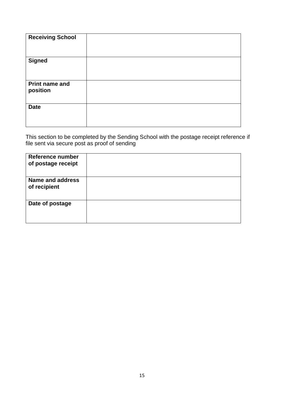| <b>Receiving School</b>           |  |
|-----------------------------------|--|
| <b>Signed</b>                     |  |
| <b>Print name and</b><br>position |  |
| <b>Date</b>                       |  |

This section to be completed by the Sending School with the postage receipt reference if file sent via secure post as proof of sending

| Reference number<br>of postage receipt |  |
|----------------------------------------|--|
| Name and address<br>of recipient       |  |
| Date of postage                        |  |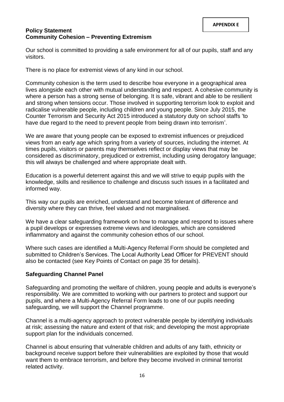#### **Policy Statement Community Cohesion – Preventing Extremism**

Our school is committed to providing a safe environment for all of our pupils, staff and any visitors.

There is no place for extremist views of any kind in our school.

Community cohesion is the term used to describe how everyone in a geographical area lives alongside each other with mutual understanding and respect. A cohesive community is where a person has a strong sense of belonging. It is safe, vibrant and able to be resilient and strong when tensions occur. Those involved in supporting terrorism look to exploit and radicalise vulnerable people, including children and young people. Since July 2015, the Counter Terrorism and Security Act 2015 introduced a statutory duty on school staffs 'to have due regard to the need to prevent people from being drawn into terrorism'.

We are aware that young people can be exposed to extremist influences or prejudiced views from an early age which spring from a variety of sources, including the internet. At times pupils, visitors or parents may themselves reflect or display views that may be considered as discriminatory, prejudiced or extremist, including using derogatory language; this will always be challenged and where appropriate dealt with.

Education is a powerful deterrent against this and we will strive to equip pupils with the knowledge, skills and resilience to challenge and discuss such issues in a facilitated and informed way.

This way our pupils are enriched, understand and become tolerant of difference and diversity where they can thrive, feel valued and not marginalised.

We have a clear safeguarding framework on how to manage and respond to issues where a pupil develops or expresses extreme views and ideologies, which are considered inflammatory and against the community cohesion ethos of our school.

Where such cases are identified a Multi-Agency Referral Form should be completed and submitted to Children's Services. The Local Authority Lead Officer for PREVENT should also be contacted (see Key Points of Contact on page 35 for details).

## **Safeguarding Channel Panel**

Safeguarding and promoting the welfare of children, young people and adults is everyone's responsibility. We are committed to working with our partners to protect and support our pupils, and where a Multi-Agency Referral Form leads to one of our pupils needing safeguarding, we will support the Channel programme.

Channel is a multi-agency approach to protect vulnerable people by identifying individuals at risk; assessing the nature and extent of that risk; and developing the most appropriate support plan for the individuals concerned.

Channel is about ensuring that vulnerable children and adults of any faith, ethnicity or background receive support before their vulnerabilities are exploited by those that would want them to embrace terrorism, and before they become involved in criminal terrorist related activity.